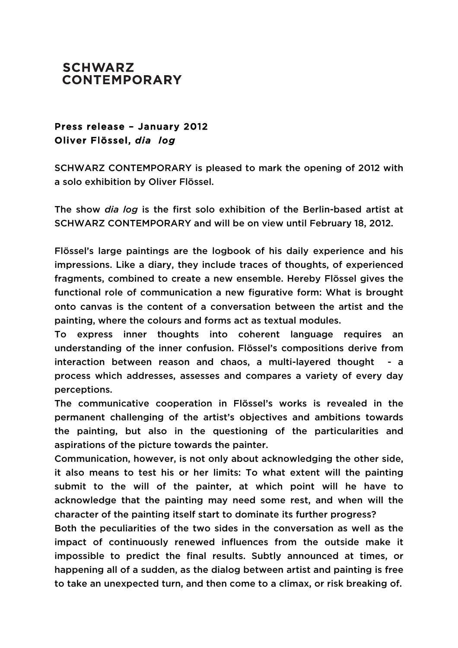## **SCHWARZ CONTEMPORARY**

## Press release – January 2012 Oliver Flössel, *dia log*

SCHWARZ CONTEMPORARY is pleased to mark the opening of 2012 with a solo exhibition by Oliver Flössel.

The show *dia log* is the first solo exhibition of the Berlin-based artist at SCHWARZ CONTEMPORARY and will be on view until February 18, 2012.

Flössel's large paintings are the logbook of his daily experience and his impressions. Like a diary, they include traces of thoughts, of experienced fragments, combined to create a new ensemble. Hereby Flössel gives the functional role of communication a new figurative form: What is brought onto canvas is the content of a conversation between the artist and the painting, where the colours and forms act as textual modules.

To express inner thoughts into coherent language requires an understanding of the inner confusion. Flössel's compositions derive from interaction between reason and chaos, a multi-layered thought - a process which addresses, assesses and compares a variety of every day perceptions.

The communicative cooperation in Flössel's works is revealed in the permanent challenging of the artist's objectives and ambitions towards the painting, but also in the questioning of the particularities and aspirations of the picture towards the painter.

Communication, however, is not only about acknowledging the other side, it also means to test his or her limits: To what extent will the painting submit to the will of the painter, at which point will he have to acknowledge that the painting may need some rest, and when will the character of the painting itself start to dominate its further progress?

Both the peculiarities of the two sides in the conversation as well as the impact of continuously renewed influences from the outside make it impossible to predict the final results. Subtly announced at times, or happening all of a sudden, as the dialog between artist and painting is free to take an unexpected turn, and then come to a climax, or risk breaking of.